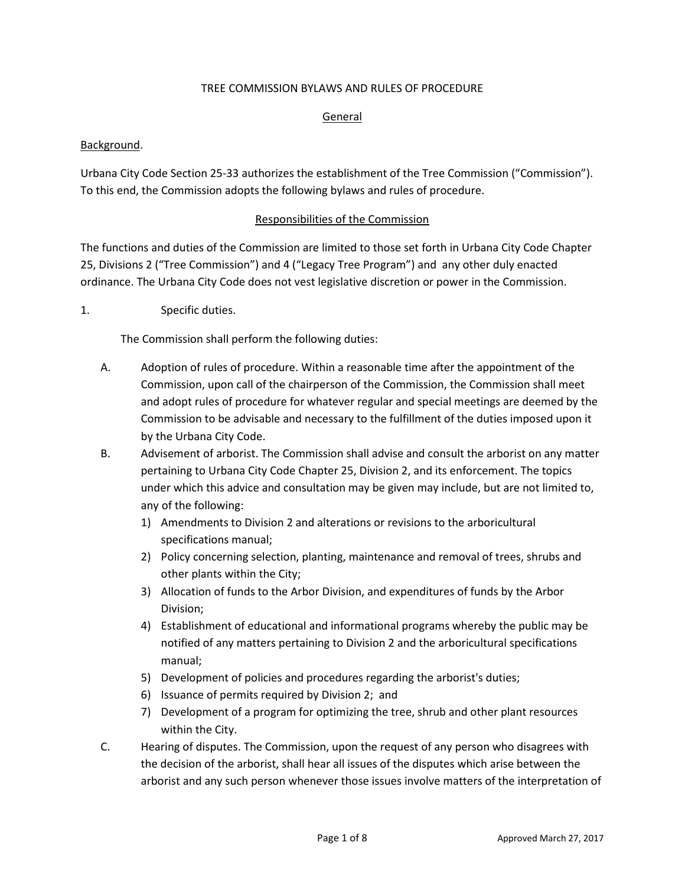#### TREE COMMISSION BYLAWS AND RULES OF PROCEDURE

#### General

#### Background.

Urbana City Code Section 25-33 authorizes the establishment of the Tree Commission ("Commission"). To this end, the Commission adopts the following bylaws and rules of procedure.

#### Responsibilities of the Commission

The functions and duties of the Commission are limited to those set forth in Urbana City Code Chapter 25, Divisions 2 ("Tree Commission") and 4 ("Legacy Tree Program") and any other duly enacted ordinance. The Urbana City Code does not vest legislative discretion or power in the Commission.

1. Specific duties.

The Commission shall perform the following duties:

- A. Adoption of rules of procedure. Within a reasonable time after the appointment of the Commission, upon call of the chairperson of the Commission, the Commission shall meet and adopt rules of procedure for whatever regular and special meetings are deemed by the Commission to be advisable and necessary to the fulfillment of the duties imposed upon it by the Urbana City Code.
- B. Advisement of arborist. The Commission shall advise and consult the arborist on any matter pertaining to Urbana City Code Chapter 25, Division 2, and its enforcement. The topics under which this advice and consultation may be given may include, but are not limited to, any of the following:
	- 1) Amendments to Division 2 and alterations or revisions to the arboricultural specifications manual;
	- 2) Policy concerning selection, planting, maintenance and removal of trees, shrubs and other plants within the City;
	- 3) Allocation of funds to the Arbor Division, and expenditures of funds by the Arbor Division;
	- 4) Establishment of educational and informational programs whereby the public may be notified of any matters pertaining to Division 2 and the arboricultural specifications manual;
	- 5) Development of policies and procedures regarding the arborist's duties;
	- 6) Issuance of permits required by Division 2; and
	- 7) Development of a program for optimizing the tree, shrub and other plant resources within the City.
- C. Hearing of disputes. The Commission, upon the request of any person who disagrees with the decision of the arborist, shall hear all issues of the disputes which arise between the arborist and any such person whenever those issues involve matters of the interpretation of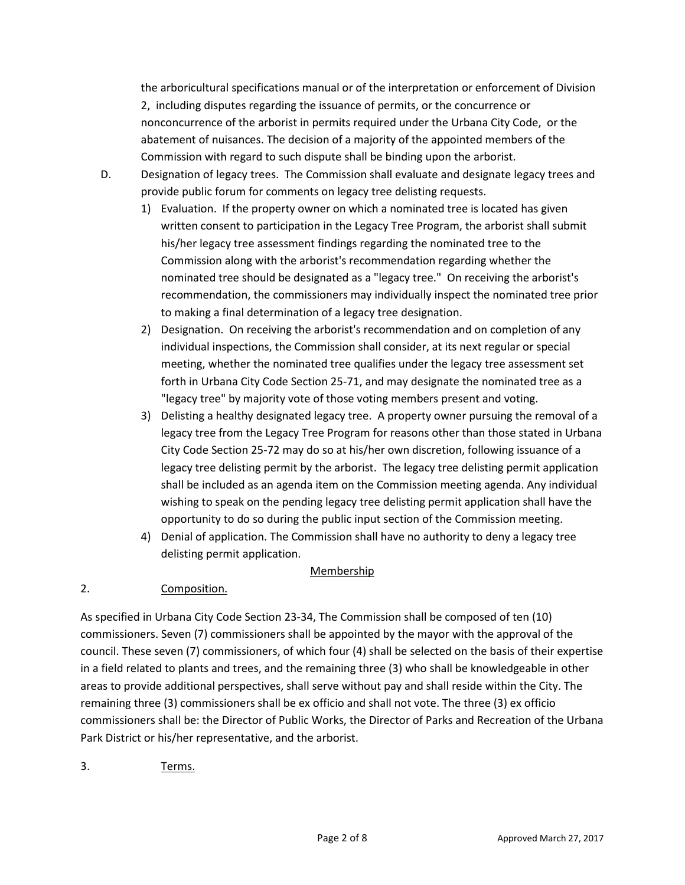the arboricultural specifications manual or of the interpretation or enforcement of Division 2, including disputes regarding the issuance of permits, or the concurrence or nonconcurrence of the arborist in permits required under the Urbana City Code, or the abatement of nuisances. The decision of a majority of the appointed members of the Commission with regard to such dispute shall be binding upon the arborist.

- D. Designation of legacy trees. The Commission shall evaluate and designate legacy trees and provide public forum for comments on legacy tree delisting requests.
	- 1) Evaluation. If the property owner on which a nominated tree is located has given written consent to participation in the Legacy Tree Program, the arborist shall submit his/her legacy tree assessment findings regarding the nominated tree to the Commission along with the arborist's recommendation regarding whether the nominated tree should be designated as a "legacy tree." On receiving the arborist's recommendation, the commissioners may individually inspect the nominated tree prior to making a final determination of a legacy tree designation.
	- 2) Designation. On receiving the arborist's recommendation and on completion of any individual inspections, the Commission shall consider, at its next regular or special meeting, whether the nominated tree qualifies under the legacy tree assessment set forth in Urbana City Code Section 25-71, and may designate the nominated tree as a "legacy tree" by majority vote of those voting members present and voting.
	- 3) Delisting a healthy designated legacy tree. A property owner pursuing the removal of a legacy tree from the Legacy Tree Program for reasons other than those stated in Urbana City Code Section 25-72 may do so at his/her own discretion, following issuance of a legacy tree delisting permit by the arborist. The legacy tree delisting permit application shall be included as an agenda item on the Commission meeting agenda. Any individual wishing to speak on the pending legacy tree delisting permit application shall have the opportunity to do so during the public input section of the Commission meeting.
	- 4) Denial of application. The Commission shall have no authority to deny a legacy tree delisting permit application.

## Membership

## 2. Composition.

As specified in Urbana City Code Section 23-34, The Commission shall be composed of ten (10) commissioners. Seven (7) commissioners shall be appointed by the mayor with the approval of the council. These seven (7) commissioners, of which four (4) shall be selected on the basis of their expertise in a field related to plants and trees, and the remaining three (3) who shall be knowledgeable in other areas to provide additional perspectives, shall serve without pay and shall reside within the City. The remaining three (3) commissioners shall be ex officio and shall not vote. The three (3) ex officio commissioners shall be: the Director of Public Works, the Director of Parks and Recreation of the Urbana Park District or his/her representative, and the arborist.

3. Terms.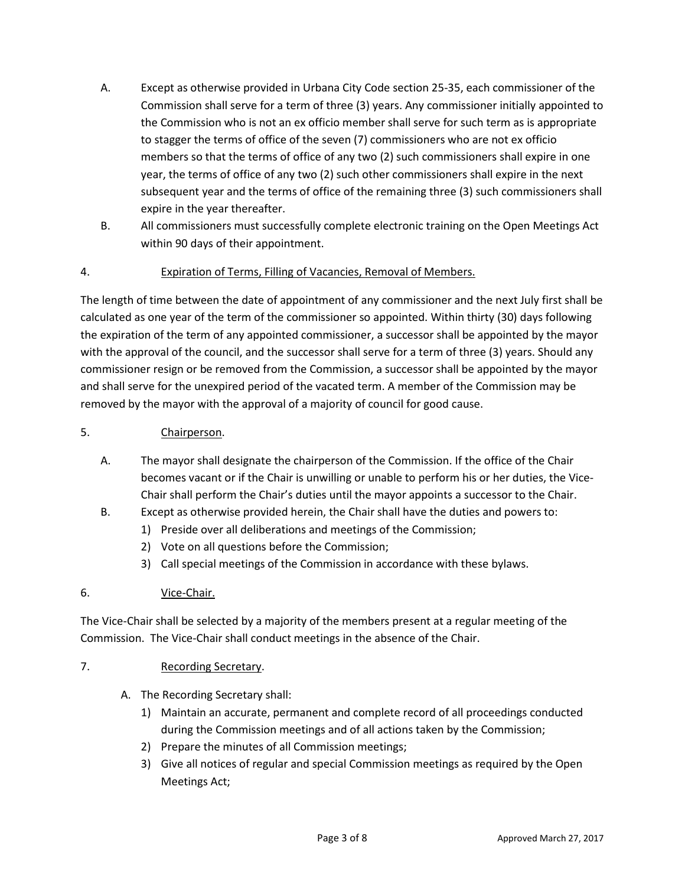- A. Except as otherwise provided in Urbana City Code section 25-35, each commissioner of the Commission shall serve for a term of three (3) years. Any commissioner initially appointed to the Commission who is not an ex officio member shall serve for such term as is appropriate to stagger the terms of office of the seven (7) commissioners who are not ex officio members so that the terms of office of any two (2) such commissioners shall expire in one year, the terms of office of any two (2) such other commissioners shall expire in the next subsequent year and the terms of office of the remaining three (3) such commissioners shall expire in the year thereafter.
- B. All commissioners must successfully complete electronic training on the Open Meetings Act within 90 days of their appointment.

## 4. Expiration of Terms, Filling of Vacancies, Removal of Members.

The length of time between the date of appointment of any commissioner and the next July first shall be calculated as one year of the term of the commissioner so appointed. Within thirty (30) days following the expiration of the term of any appointed commissioner, a successor shall be appointed by the mayor with the approval of the council, and the successor shall serve for a term of three (3) years. Should any commissioner resign or be removed from the Commission, a successor shall be appointed by the mayor and shall serve for the unexpired period of the vacated term. A member of the Commission may be removed by the mayor with the approval of a majority of council for good cause.

## 5. Chairperson.

- A. The mayor shall designate the chairperson of the Commission. If the office of the Chair becomes vacant or if the Chair is unwilling or unable to perform his or her duties, the Vice-Chair shall perform the Chair's duties until the mayor appoints a successor to the Chair.
- B. Except as otherwise provided herein, the Chair shall have the duties and powers to:
	- 1) Preside over all deliberations and meetings of the Commission;
	- 2) Vote on all questions before the Commission;
	- 3) Call special meetings of the Commission in accordance with these bylaws.

## 6. Vice-Chair.

The Vice-Chair shall be selected by a majority of the members present at a regular meeting of the Commission. The Vice-Chair shall conduct meetings in the absence of the Chair.

#### 7. Recording Secretary.

- A. The Recording Secretary shall:
	- 1) Maintain an accurate, permanent and complete record of all proceedings conducted during the Commission meetings and of all actions taken by the Commission;
	- 2) Prepare the minutes of all Commission meetings;
	- 3) Give all notices of regular and special Commission meetings as required by the Open Meetings Act;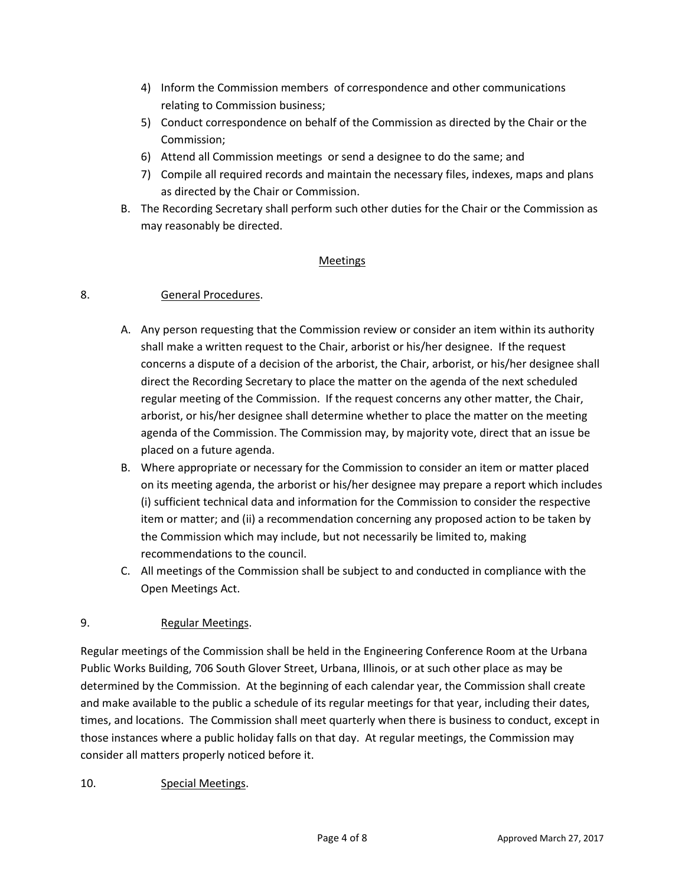- 4) Inform the Commission members of correspondence and other communications relating to Commission business;
- 5) Conduct correspondence on behalf of the Commission as directed by the Chair or the Commission;
- 6) Attend all Commission meetings or send a designee to do the same; and
- 7) Compile all required records and maintain the necessary files, indexes, maps and plans as directed by the Chair or Commission.
- B. The Recording Secretary shall perform such other duties for the Chair or the Commission as may reasonably be directed.

#### Meetings

#### 8. General Procedures.

- A. Any person requesting that the Commission review or consider an item within its authority shall make a written request to the Chair, arborist or his/her designee. If the request concerns a dispute of a decision of the arborist, the Chair, arborist, or his/her designee shall direct the Recording Secretary to place the matter on the agenda of the next scheduled regular meeting of the Commission. If the request concerns any other matter, the Chair, arborist, or his/her designee shall determine whether to place the matter on the meeting agenda of the Commission. The Commission may, by majority vote, direct that an issue be placed on a future agenda.
- B. Where appropriate or necessary for the Commission to consider an item or matter placed on its meeting agenda, the arborist or his/her designee may prepare a report which includes (i) sufficient technical data and information for the Commission to consider the respective item or matter; and (ii) a recommendation concerning any proposed action to be taken by the Commission which may include, but not necessarily be limited to, making recommendations to the council.
- C. All meetings of the Commission shall be subject to and conducted in compliance with the Open Meetings Act.

## 9. Regular Meetings.

Regular meetings of the Commission shall be held in the Engineering Conference Room at the Urbana Public Works Building, 706 South Glover Street, Urbana, Illinois, or at such other place as may be determined by the Commission. At the beginning of each calendar year, the Commission shall create and make available to the public a schedule of its regular meetings for that year, including their dates, times, and locations. The Commission shall meet quarterly when there is business to conduct, except in those instances where a public holiday falls on that day. At regular meetings, the Commission may consider all matters properly noticed before it.

10. Special Meetings.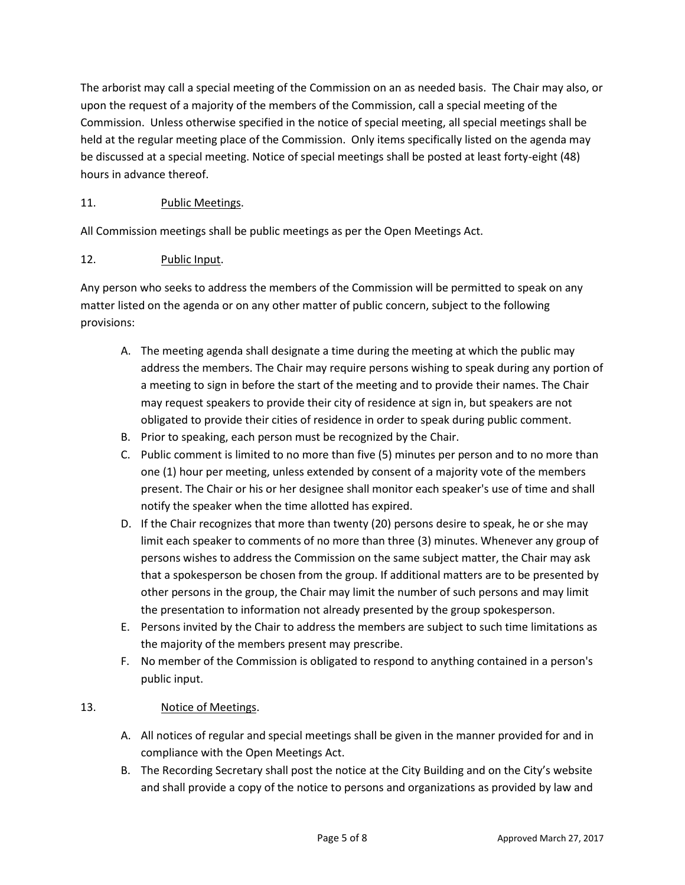The arborist may call a special meeting of the Commission on an as needed basis. The Chair may also, or upon the request of a majority of the members of the Commission, call a special meeting of the Commission. Unless otherwise specified in the notice of special meeting, all special meetings shall be held at the regular meeting place of the Commission. Only items specifically listed on the agenda may be discussed at a special meeting. Notice of special meetings shall be posted at least forty-eight (48) hours in advance thereof.

# 11. Public Meetings.

All Commission meetings shall be public meetings as per the Open Meetings Act.

## 12. Public Input.

Any person who seeks to address the members of the Commission will be permitted to speak on any matter listed on the agenda or on any other matter of public concern, subject to the following provisions:

- A. The meeting agenda shall designate a time during the meeting at which the public may address the members. The Chair may require persons wishing to speak during any portion of a meeting to sign in before the start of the meeting and to provide their names. The Chair may request speakers to provide their city of residence at sign in, but speakers are not obligated to provide their cities of residence in order to speak during public comment.
- B. Prior to speaking, each person must be recognized by the Chair.
- C. Public comment is limited to no more than five (5) minutes per person and to no more than one (1) hour per meeting, unless extended by consent of a majority vote of the members present. The Chair or his or her designee shall monitor each speaker's use of time and shall notify the speaker when the time allotted has expired.
- D. If the Chair recognizes that more than twenty (20) persons desire to speak, he or she may limit each speaker to comments of no more than three (3) minutes. Whenever any group of persons wishes to address the Commission on the same subject matter, the Chair may ask that a spokesperson be chosen from the group. If additional matters are to be presented by other persons in the group, the Chair may limit the number of such persons and may limit the presentation to information not already presented by the group spokesperson.
- E. Persons invited by the Chair to address the members are subject to such time limitations as the majority of the members present may prescribe.
- F. No member of the Commission is obligated to respond to anything contained in a person's public input.

## 13. Notice of Meetings.

- A. All notices of regular and special meetings shall be given in the manner provided for and in compliance with the Open Meetings Act.
- B. The Recording Secretary shall post the notice at the City Building and on the City's website and shall provide a copy of the notice to persons and organizations as provided by law and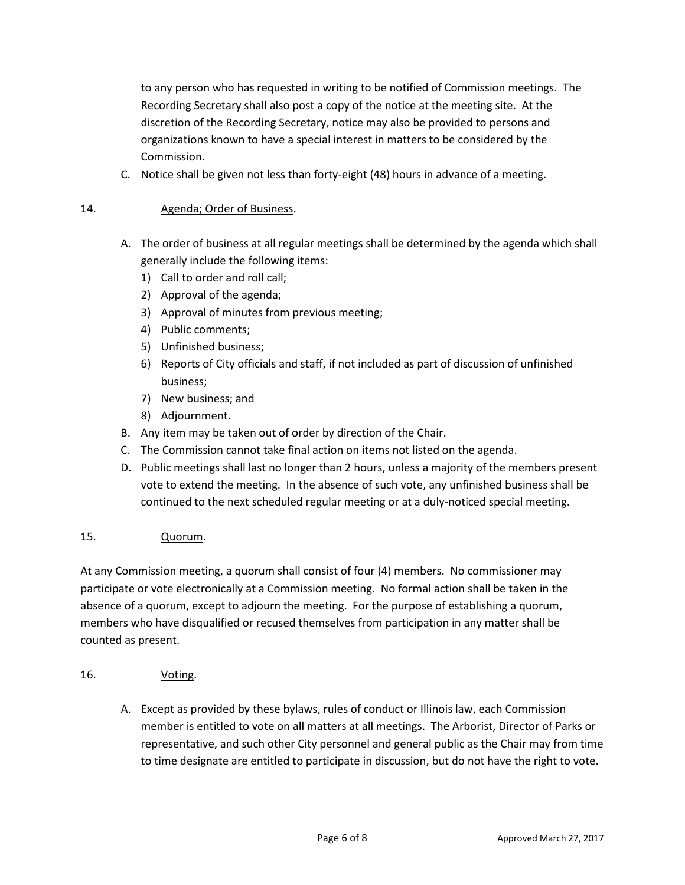to any person who has requested in writing to be notified of Commission meetings. The Recording Secretary shall also post a copy of the notice at the meeting site. At the discretion of the Recording Secretary, notice may also be provided to persons and organizations known to have a special interest in matters to be considered by the Commission.

C. Notice shall be given not less than forty-eight (48) hours in advance of a meeting.

## 14. **Agenda**; Order of Business.

- A. The order of business at all regular meetings shall be determined by the agenda which shall generally include the following items:
	- 1) Call to order and roll call;
	- 2) Approval of the agenda;
	- 3) Approval of minutes from previous meeting;
	- 4) Public comments;
	- 5) Unfinished business;
	- 6) Reports of City officials and staff, if not included as part of discussion of unfinished business;
	- 7) New business; and
	- 8) Adjournment.
- B. Any item may be taken out of order by direction of the Chair.
- C. The Commission cannot take final action on items not listed on the agenda.
- D. Public meetings shall last no longer than 2 hours, unless a majority of the members present vote to extend the meeting. In the absence of such vote, any unfinished business shall be continued to the next scheduled regular meeting or at a duly-noticed special meeting.

## 15. Quorum.

At any Commission meeting, a quorum shall consist of four (4) members. No commissioner may participate or vote electronically at a Commission meeting. No formal action shall be taken in the absence of a quorum, except to adjourn the meeting. For the purpose of establishing a quorum, members who have disqualified or recused themselves from participation in any matter shall be counted as present.

- 16. Voting.
	- A. Except as provided by these bylaws, rules of conduct or Illinois law, each Commission member is entitled to vote on all matters at all meetings. The Arborist, Director of Parks or representative, and such other City personnel and general public as the Chair may from time to time designate are entitled to participate in discussion, but do not have the right to vote.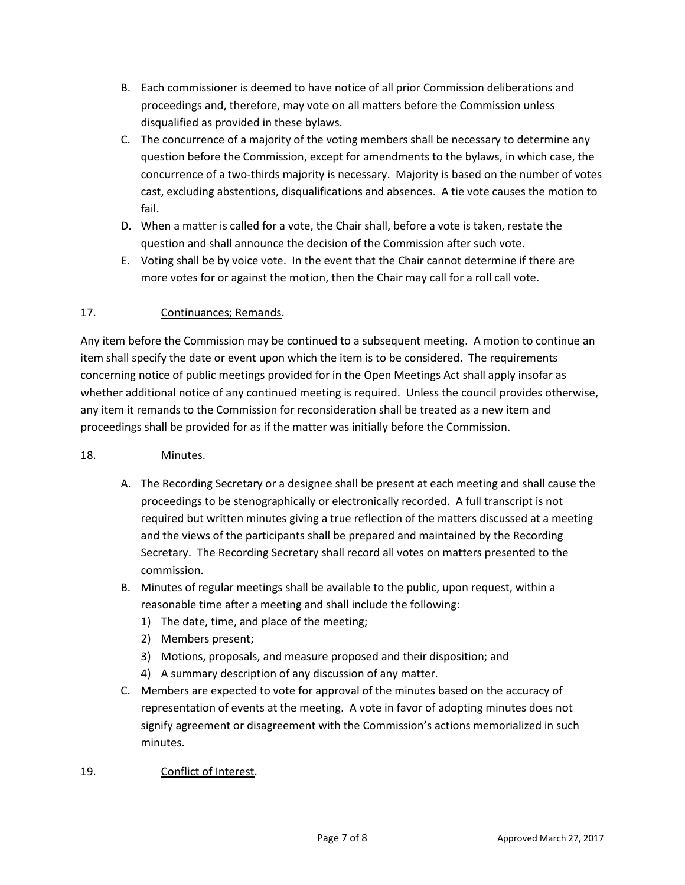- B. Each commissioner is deemed to have notice of all prior Commission deliberations and proceedings and, therefore, may vote on all matters before the Commission unless disqualified as provided in these bylaws.
- C. The concurrence of a majority of the voting members shall be necessary to determine any question before the Commission, except for amendments to the bylaws, in which case, the concurrence of a two-thirds majority is necessary. Majority is based on the number of votes cast, excluding abstentions, disqualifications and absences. A tie vote causes the motion to fail.
- D. When a matter is called for a vote, the Chair shall, before a vote is taken, restate the question and shall announce the decision of the Commission after such vote.
- E. Voting shall be by voice vote. In the event that the Chair cannot determine if there are more votes for or against the motion, then the Chair may call for a roll call vote.

# 17. Continuances; Remands.

Any item before the Commission may be continued to a subsequent meeting. A motion to continue an item shall specify the date or event upon which the item is to be considered. The requirements concerning notice of public meetings provided for in the Open Meetings Act shall apply insofar as whether additional notice of any continued meeting is required. Unless the council provides otherwise, any item it remands to the Commission for reconsideration shall be treated as a new item and proceedings shall be provided for as if the matter was initially before the Commission.

## 18. Minutes.

- A. The Recording Secretary or a designee shall be present at each meeting and shall cause the proceedings to be stenographically or electronically recorded. A full transcript is not required but written minutes giving a true reflection of the matters discussed at a meeting and the views of the participants shall be prepared and maintained by the Recording Secretary. The Recording Secretary shall record all votes on matters presented to the commission.
- B. Minutes of regular meetings shall be available to the public, upon request, within a reasonable time after a meeting and shall include the following:
	- 1) The date, time, and place of the meeting;
	- 2) Members present;
	- 3) Motions, proposals, and measure proposed and their disposition; and
	- 4) A summary description of any discussion of any matter.
- C. Members are expected to vote for approval of the minutes based on the accuracy of representation of events at the meeting. A vote in favor of adopting minutes does not signify agreement or disagreement with the Commission's actions memorialized in such minutes.
- 19. Conflict of Interest.